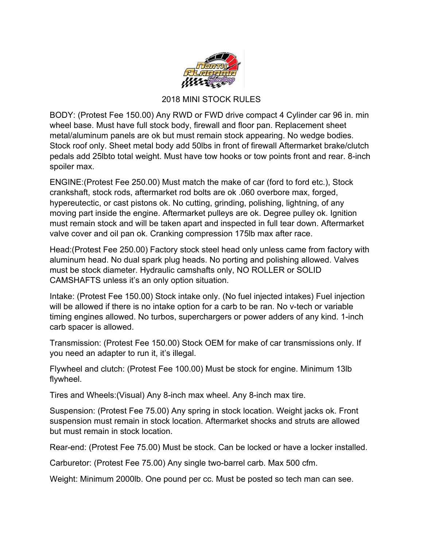

## 2018 MINI STOCK RULES

BODY: (Protest Fee 150.00) Any RWD or FWD drive compact 4 Cylinder car 96 in. min wheel base. Must have full stock body, firewall and floor pan. Replacement sheet metal/aluminum panels are ok but must remain stock appearing. No wedge bodies. Stock roof only. Sheet metal body add 50lbs in front of firewall Aftermarket brake/clutch pedals add 25lbto total weight. Must have tow hooks or tow points front and rear. 8-inch spoiler max.

ENGINE:(Protest Fee 250.00) Must match the make of car (ford to ford etc.), Stock crankshaft, stock rods, aftermarket rod bolts are ok .060 overbore max, forged, hypereutectic, or cast pistons ok. No cutting, grinding, polishing, lightning, of any moving part inside the engine. Aftermarket pulleys are ok. Degree pulley ok. Ignition must remain stock and will be taken apart and inspected in full tear down. Aftermarket valve cover and oil pan ok. Cranking compression 175lb max after race.

Head:(Protest Fee 250.00) Factory stock steel head only unless came from factory with aluminum head. No dual spark plug heads. No porting and polishing allowed. Valves must be stock diameter. Hydraulic camshafts only, NO ROLLER or SOLID CAMSHAFTS unless it's an only option situation.

Intake: (Protest Fee 150.00) Stock intake only. (No fuel injected intakes) Fuel injection will be allowed if there is no intake option for a carb to be ran. No v-tech or variable timing engines allowed. No turbos, superchargers or power adders of any kind. 1-inch carb spacer is allowed.

Transmission: (Protest Fee 150.00) Stock OEM for make of car transmissions only. If you need an adapter to run it, it's illegal.

Flywheel and clutch: (Protest Fee 100.00) Must be stock for engine. Minimum 13lb flywheel.

Tires and Wheels:(Visual) Any 8-inch max wheel. Any 8-inch max tire.

Suspension: (Protest Fee 75.00) Any spring in stock location. Weight jacks ok. Front suspension must remain in stock location. Aftermarket shocks and struts are allowed but must remain in stock location.

Rear-end: (Protest Fee 75.00) Must be stock. Can be locked or have a locker installed.

Carburetor: (Protest Fee 75.00) Any single two-barrel carb. Max 500 cfm.

Weight: Minimum 2000lb. One pound per cc. Must be posted so tech man can see.